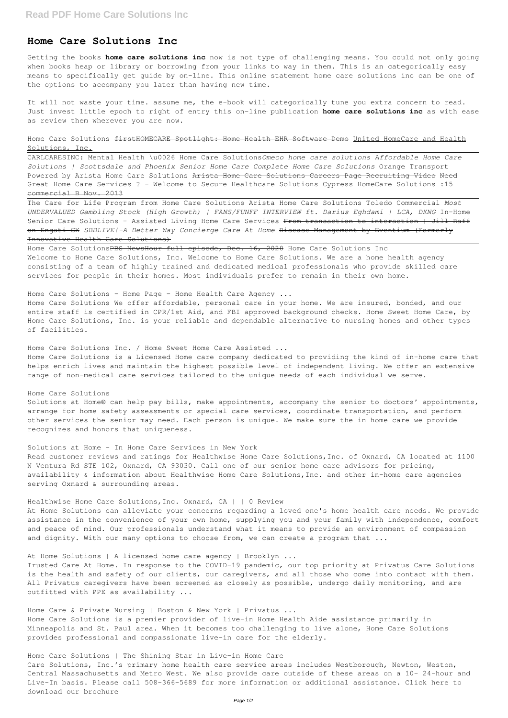# **Home Care Solutions Inc**

Getting the books **home care solutions inc** now is not type of challenging means. You could not only going when books heap or library or borrowing from your links to way in them. This is an categorically easy means to specifically get guide by on-line. This online statement home care solutions inc can be one of the options to accompany you later than having new time.

Home Care Solutions firstHOMECARE Spotlight: Home Health EHR Software Demo United HomeCare and Health Solutions, Inc.

It will not waste your time. assume me, the e-book will categorically tune you extra concern to read. Just invest little epoch to right of entry this on-line publication **home care solutions inc** as with ease as review them wherever you are now.

CARLCARESINC: Mental Health \u0026 Home Care Solutions*Omeco home care solutions Affordable Home Care Solutions | Scottsdale and Phoenix Senior Home Care Complete Home Care Solutions* Orange Transport Powered by Arista Home Care Solutions Arista Home Care Solutions Careers Page Recruiting Video Need Great Home Care Services ? - Welcome to Secure Healthcare Solutions Cypress HomeCare Solutions : 15 commercial B Nov. 2013

Home Care SolutionsPBS NewsHour full episode, Dec. 16, 2020 Home Care Solutions Inc Welcome to Home Care Solutions, Inc. Welcome to Home Care Solutions. We are a home health agency consisting of a team of highly trained and dedicated medical professionals who provide skilled care services for people in their homes. Most individuals prefer to remain in their own home.

### Home Care Solutions - Home Page - Home Health Care Agency ...

The Care for Life Program from Home Care Solutions Arista Home Care Solutions Toledo Commercial *Most UNDERVALUED Gambling Stock (High Growth) | FANS/FUNFF INTERVIEW ft. Darius Eghdami | LCA, DKNG* In-Home Senior Care Solutions - Assisted Living Home Care Services From transaction to interaction | Jill Raff on Engati CX *SBBLIVE!-A Better Way Concierge Care At Home* Disease Management by Eventium (Formerly Innovative Health Care Solutions)

At Home Solutions can alleviate your concerns regarding a loved one's home health care needs. We provide assistance in the convenience of your own home, supplying you and your family with independence, comfort and peace of mind. Our professionals understand what it means to provide an environment of compassion and dignity. With our many options to choose from, we can create a program that ...

Home Care Solutions We offer affordable, personal care in your home. We are insured, bonded, and our entire staff is certified in CPR/1st Aid, and FBI approved background checks. Home Sweet Home Care, by Home Care Solutions, Inc. is your reliable and dependable alternative to nursing homes and other types of facilities.

Home Care Solutions Inc. / Home Sweet Home Care Assisted ...

Home Care Solutions is a Licensed Home care company dedicated to providing the kind of in-home care that helps enrich lives and maintain the highest possible level of independent living. We offer an extensive range of non-medical care services tailored to the unique needs of each individual we serve.

### Home Care Solutions

Solutions at Home® can help pay bills, make appointments, accompany the senior to doctors' appointments, arrange for home safety assessments or special care services, coordinate transportation, and perform other services the senior may need. Each person is unique. We make sure the in home care we provide recognizes and honors that uniqueness.

#### Solutions at Home – In Home Care Services in New York

Read customer reviews and ratings for Healthwise Home Care Solutions,Inc. of Oxnard, CA located at 1100 N Ventura Rd STE 102, Oxnard, CA 93030. Call one of our senior home care advisors for pricing, availability & information about Healthwise Home Care Solutions,Inc. and other in-home care agencies serving Oxnard & surrounding areas.

# Healthwise Home Care Solutions,Inc. Oxnard, CA | | 0 Review

At Home Solutions | A licensed home care agency | Brooklyn ...

Trusted Care At Home. In response to the COVID-19 pandemic, our top priority at Privatus Care Solutions is the health and safety of our clients, our caregivers, and all those who come into contact with them. All Privatus caregivers have been screened as closely as possible, undergo daily monitoring, and are outfitted with PPE as availability ...

Home Care & Private Nursing | Boston & New York | Privatus ...

Home Care Solutions is a premier provider of live-in Home Health Aide assistance primarily in Minneapolis and St. Paul area. When it becomes too challenging to live alone, Home Care Solutions provides professional and compassionate live-in care for the elderly.

Home Care Solutions | The Shining Star in Live-in Home Care

Care Solutions, Inc.'s primary home health care service areas includes Westborough, Newton, Weston, Central Massachusetts and Metro West. We also provide care outside of these areas on a 10- 24-hour and Live-In basis. Please call 508-366-5689 for more information or additional assistance. Click here to download our brochure